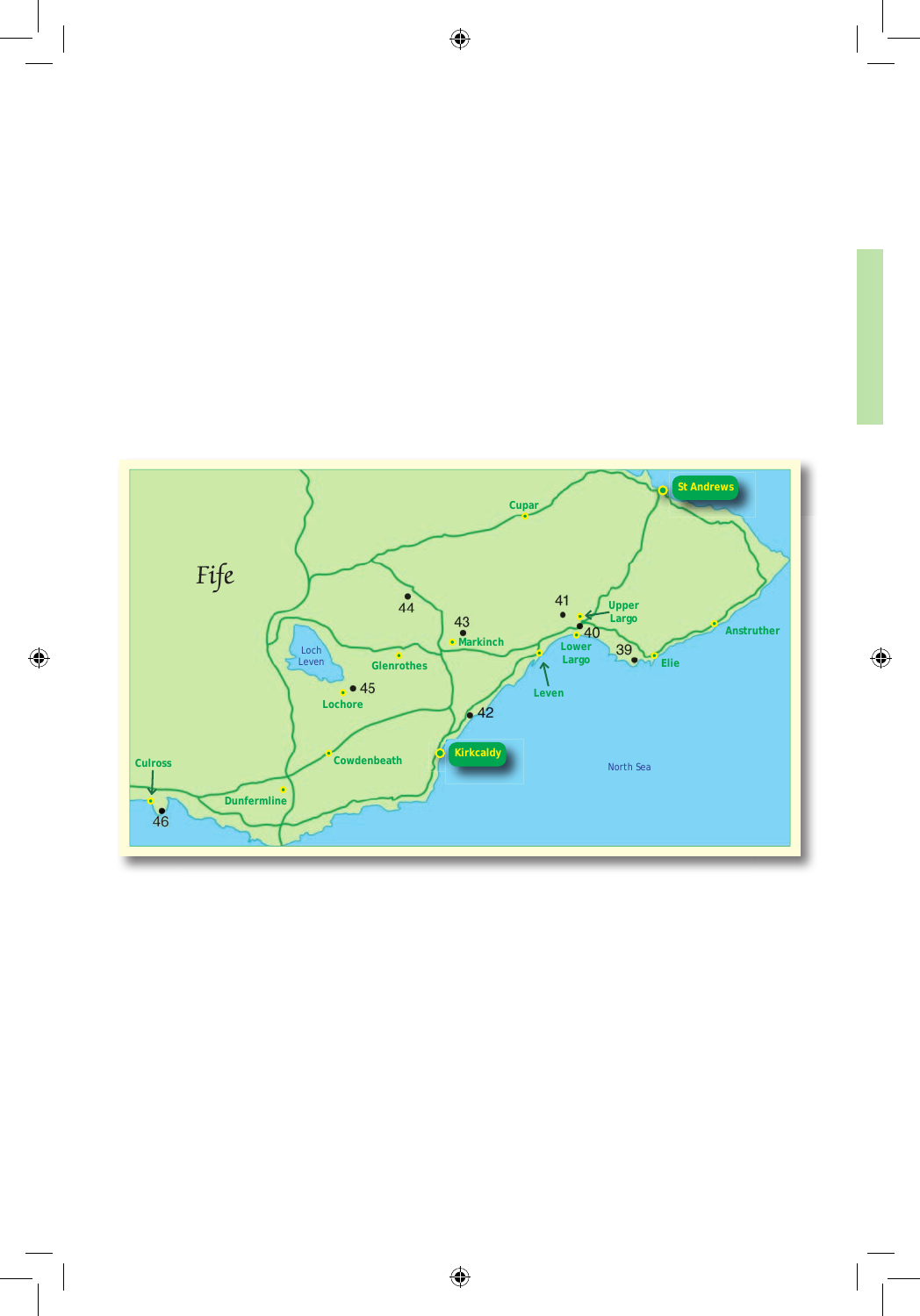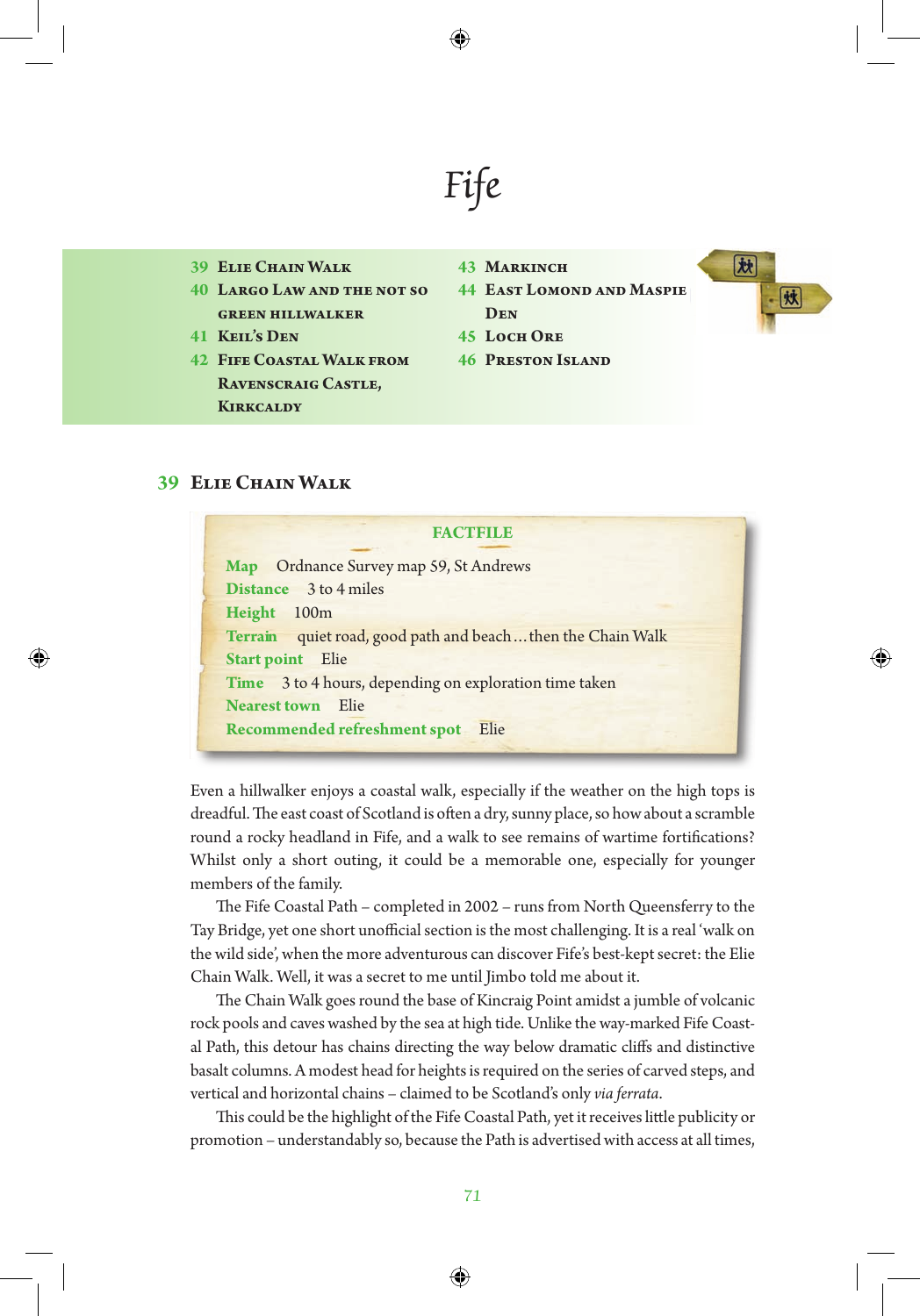## Fife

- **39 Elie Chain Walk**
- **40 Largo Law and the not so green hillwalker**
- **41 Keil's Den**
- **42 Fife Coastal Walk from Ravenscraig Castle, Kirkcaldy**
- **43 Markinch**
- **44 East Lomond and Maspie Den**
- **45 LOCH ORE**
- **46 Preston Island**



## **39 Elie Chain Walk**

**FACTFILE Map** Ordnance Survey map 59, St Andrews **Distance** 3 to 4 miles **Height** 100m **Terrain** quiet road, good path and beach…then the Chain Walk **Start point** Elie **Time** 3 to 4 hours, depending on exploration time taken **Nearest town** Elie **Recommended refreshment spot** Elie

Even a hillwalker enjoys a coastal walk, especially if the weather on the high tops is dreadful. The east coast of Scotland is often a dry, sunny place, so how about a scramble round a rocky headland in Fife, and a walk to see remains of wartime fortifications? Whilst only a short outing, it could be a memorable one, especially for younger members of the family.

The Fife Coastal Path – completed in 2002 – runs from North Queensferry to the Tay Bridge, yet one short unofficial section is the most challenging. It is a real 'walk on the wild side', when the more adventurous can discover Fife's best-kept secret: the Elie Chain Walk. Well, it was a secret to me until Jimbo told me about it.

The Chain Walk goes round the base of Kincraig Point amidst a jumble of volcanic rock pools and caves washed by the sea at high tide. Unlike the way-marked Fife Coastal Path, this detour has chains directing the way below dramatic cliffs and distinctive basalt columns. A modest head for heights is required on the series of carved steps, and vertical and horizontal chains – claimed to be Scotland's only *via ferrata*.

This could be the highlight of the Fife Coastal Path, yet it receives little publicity or promotion – understandably so, because the Path is advertised with access at all times,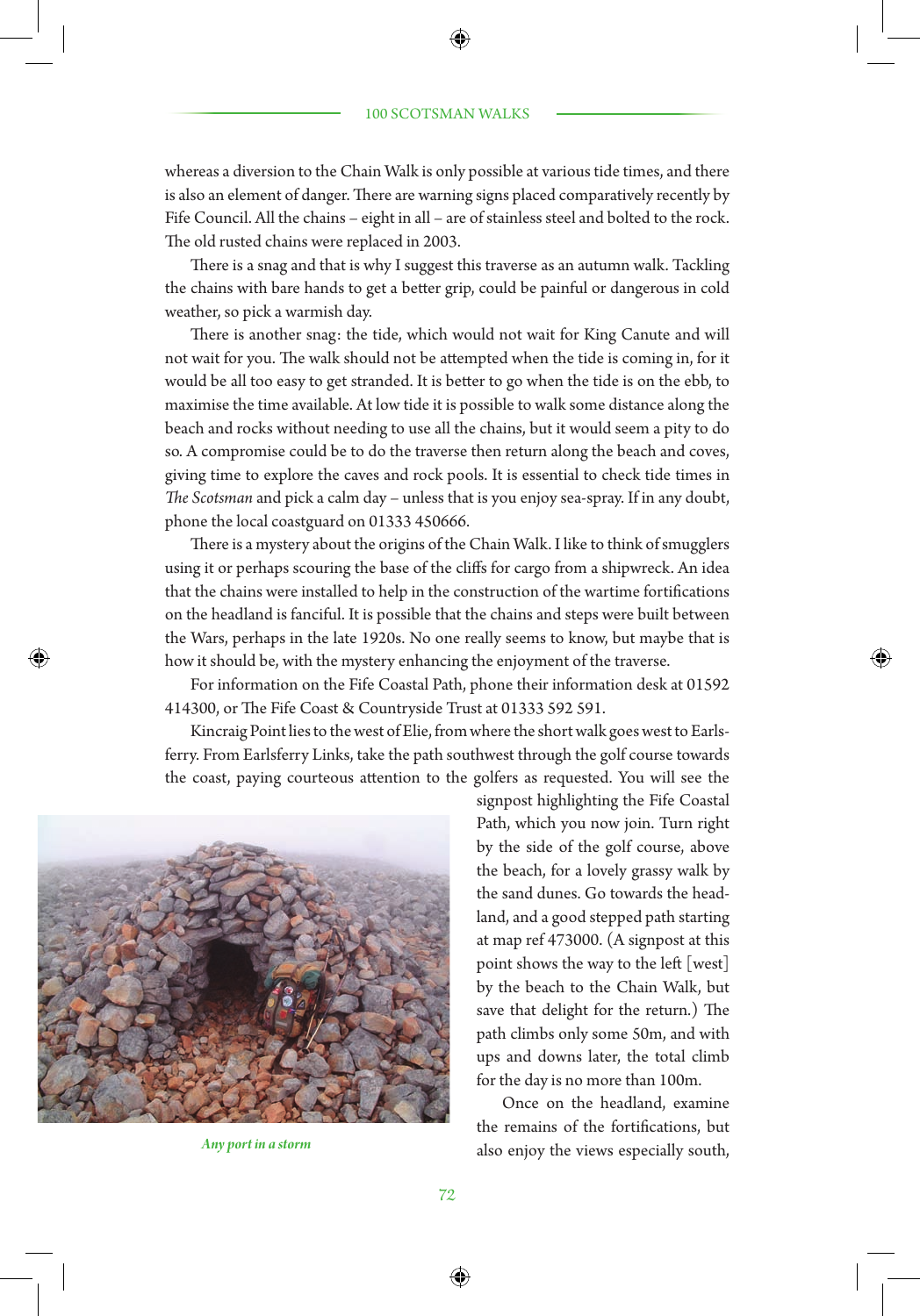whereas a diversion to the Chain Walk is only possible at various tide times, and there is also an element of danger. There are warning signs placed comparatively recently by Fife Council. All the chains – eight in all – are of stainless steel and bolted to the rock. The old rusted chains were replaced in 2003.

There is a snag and that is why I suggest this traverse as an autumn walk. Tackling the chains with bare hands to get a better grip, could be painful or dangerous in cold weather, so pick a warmish day.

There is another snag: the tide, which would not wait for King Canute and will not wait for you. The walk should not be attempted when the tide is coming in, for it would be all too easy to get stranded. It is better to go when the tide is on the ebb, to maximise the time available. At low tide it is possible to walk some distance along the beach and rocks without needing to use all the chains, but it would seem a pity to do so. A compromise could be to do the traverse then return along the beach and coves, giving time to explore the caves and rock pools. It is essential to check tide times in *The Scotsman* and pick a calm day – unless that is you enjoy sea-spray. If in any doubt, phone the local coastguard on 01333 450666.

There is a mystery about the origins of the Chain Walk. I like to think of smugglers using it or perhaps scouring the base of the cliffs for cargo from a shipwreck. An idea that the chains were installed to help in the construction of the wartime fortifications on the headland is fanciful. It is possible that the chains and steps were built between the Wars, perhaps in the late 1920s. No one really seems to know, but maybe that is how it should be, with the mystery enhancing the enjoyment of the traverse.

For information on the Fife Coastal Path, phone their information desk at 01592 414300, or The Fife Coast & Countryside Trust at 01333 592 591.

Kincraig Point lies to the west of Elie, from where the short walk goes west to Earlsferry. From Earlsferry Links, take the path southwest through the golf course towards the coast, paying courteous attention to the golfers as requested. You will see the



signpost highlighting the Fife Coastal Path, which you now join. Turn right by the side of the golf course, above the beach, for a lovely grassy walk by the sand dunes. Go towards the headland, and a good stepped path starting at map ref 473000. (A signpost at this point shows the way to the left [west] by the beach to the Chain Walk, but save that delight for the return.) The path climbs only some 50m, and with ups and downs later, the total climb for the day is no more than 100m.

Once on the headland, examine the remains of the fortifications, but also enjoy the views especially south, *Any port in a storm*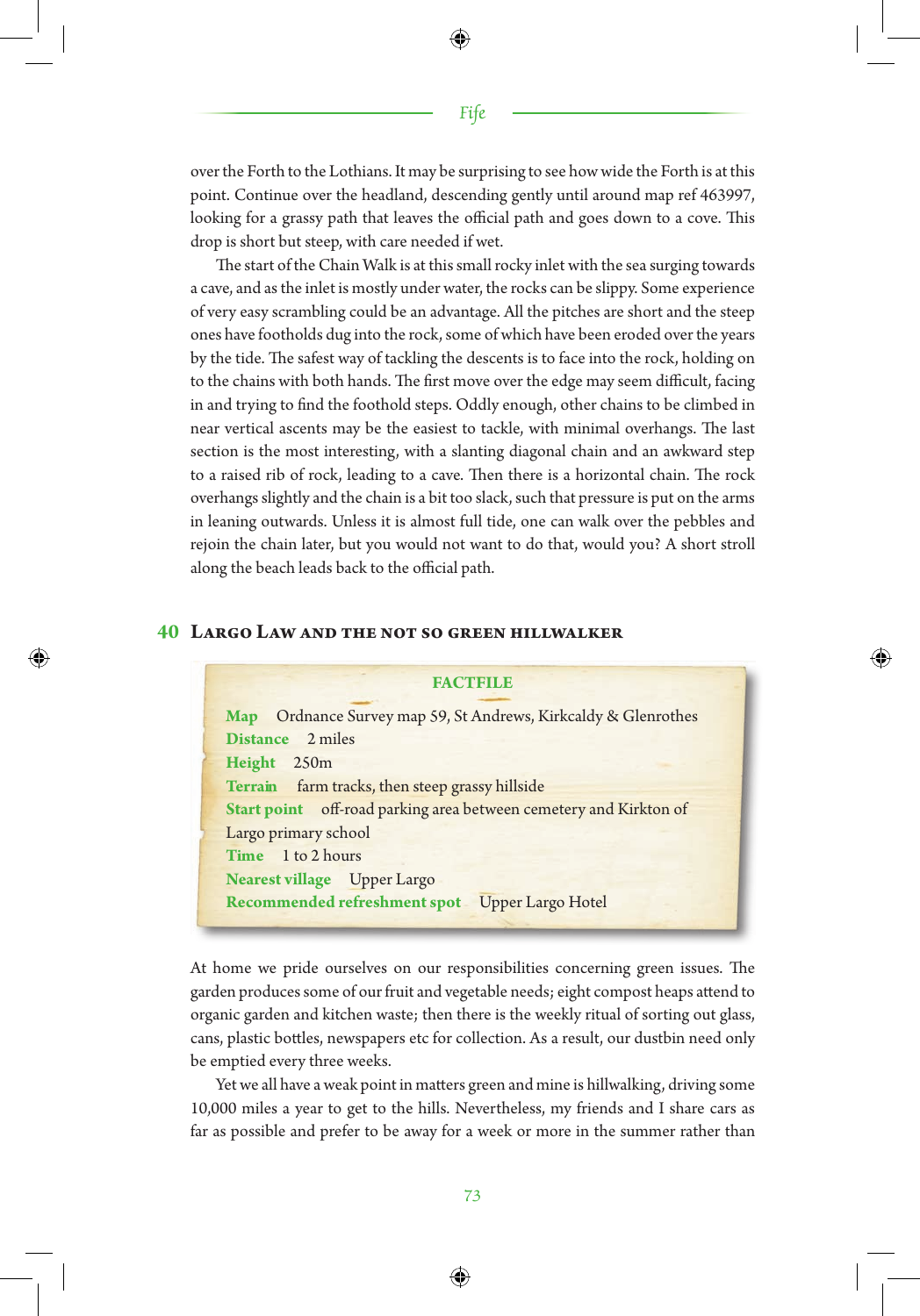over the Forth to the Lothians. It may be surprising to see how wide the Forth is at this point. Continue over the headland, descending gently until around map ref 463997, looking for a grassy path that leaves the official path and goes down to a cove. This drop is short but steep, with care needed if wet.

The start of the Chain Walk is at this small rocky inlet with the sea surging towards a cave, and as the inlet is mostly under water, the rocks can be slippy. Some experience of very easy scrambling could be an advantage. All the pitches are short and the steep ones have footholds dug into the rock, some of which have been eroded over the years by the tide. The safest way of tackling the descents is to face into the rock, holding on to the chains with both hands. The first move over the edge may seem difficult, facing in and trying to find the foothold steps. Oddly enough, other chains to be climbed in near vertical ascents may be the easiest to tackle, with minimal overhangs. The last section is the most interesting, with a slanting diagonal chain and an awkward step to a raised rib of rock, leading to a cave. Then there is a horizontal chain. The rock overhangs slightly and the chain is a bit too slack, such that pressure is put on the arms in leaning outwards. Unless it is almost full tide, one can walk over the pebbles and rejoin the chain later, but you would not want to do that, would you? A short stroll along the beach leads back to the official path.

## **40 Largo Law and the not so green hillwalker**

| <b>FACTFILE</b>                                                   |
|-------------------------------------------------------------------|
| Map Ordnance Survey map 59, St Andrews, Kirkcaldy & Glenrothes    |
| Distance 2 miles                                                  |
| Height 250m                                                       |
| Terrain farm tracks, then steep grassy hillside                   |
| Start point off-road parking area between cemetery and Kirkton of |
| Largo primary school                                              |
| Time 1 to 2 hours                                                 |
| Nearest village Upper Largo                                       |
| Recommended refreshment spot Upper Largo Hotel                    |

At home we pride ourselves on our responsibilities concerning green issues. The garden produces some of our fruit and vegetable needs; eight compost heaps attend to organic garden and kitchen waste; then there is the weekly ritual of sorting out glass, cans, plastic bottles, newspapers etc for collection. As a result, our dustbin need only be emptied every three weeks.

Yet we all have a weak point in matters green and mine is hillwalking, driving some 10,000 miles a year to get to the hills. Nevertheless, my friends and I share cars as far as possible and prefer to be away for a week or more in the summer rather than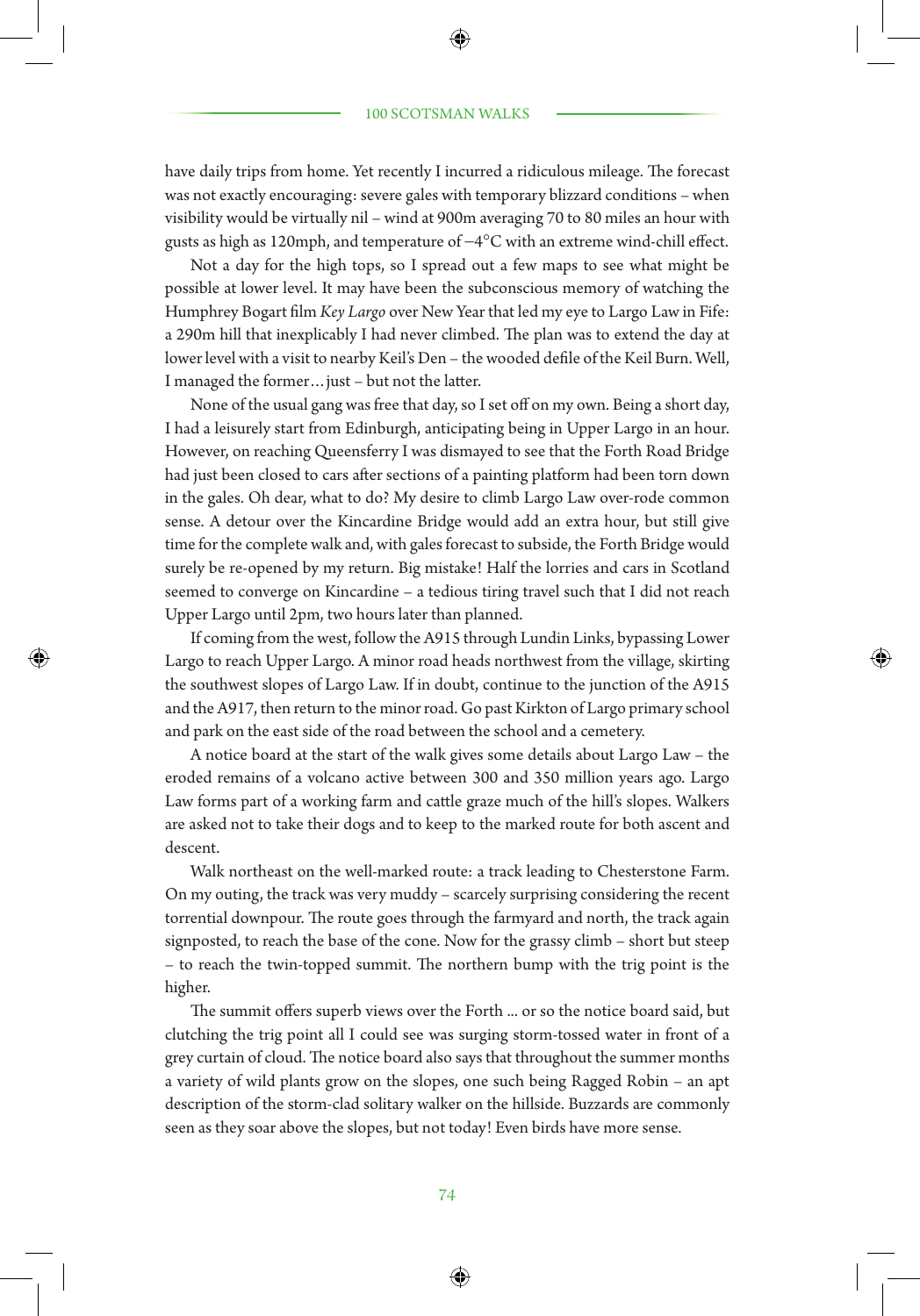have daily trips from home. Yet recently I incurred a ridiculous mileage. The forecast was not exactly encouraging: severe gales with temporary blizzard conditions – when visibility would be virtually nil – wind at 900m averaging 70 to 80 miles an hour with gusts as high as 120mph, and temperature of −4°C with an extreme wind-chill effect.

Not a day for the high tops, so I spread out a few maps to see what might be possible at lower level. It may have been the subconscious memory of watching the Humphrey Bogart film *Key Largo* over New Year that led my eye to Largo Law in Fife: a 290m hill that inexplicably I had never climbed. The plan was to extend the day at lower level with a visit to nearby Keil's Den - the wooded defile of the Keil Burn. Well, I managed the former... just – but not the latter.

None of the usual gang was free that day, so I set off on my own. Being a short day, I had a leisurely start from Edinburgh, anticipating being in Upper Largo in an hour. However, on reaching Queensferry I was dismayed to see that the Forth Road Bridge had just been closed to cars after sections of a painting platform had been torn down in the gales. Oh dear, what to do? My desire to climb Largo Law over-rode common sense. A detour over the Kincardine Bridge would add an extra hour, but still give time for the complete walk and, with gales forecast to subside, the Forth Bridge would surely be re-opened by my return. Big mistake! Half the lorries and cars in Scotland seemed to converge on Kincardine – a tedious tiring travel such that I did not reach Upper Largo until 2pm, two hours later than planned.

If coming from the west, follow the A915 through Lundin Links, bypassing Lower Largo to reach Upper Largo. A minor road heads northwest from the village, skirting the southwest slopes of Largo Law. If in doubt, continue to the junction of the A915 and the A917, then return to the minor road. Go past Kirkton of Largo primary school and park on the east side of the road between the school and a cemetery.

A notice board at the start of the walk gives some details about Largo Law – the eroded remains of a volcano active between 300 and 350 million years ago. Largo Law forms part of a working farm and cattle graze much of the hill's slopes. Walkers are asked not to take their dogs and to keep to the marked route for both ascent and descent.

Walk northeast on the well-marked route: a track leading to Chesterstone Farm. On my outing, the track was very muddy – scarcely surprising considering the recent torrential downpour. The route goes through the farmyard and north, the track again signposted, to reach the base of the cone. Now for the grassy climb – short but steep – to reach the twin-topped summit. The northern bump with the trig point is the higher.

The summit offers superb views over the Forth ... or so the notice board said, but clutching the trig point all I could see was surging storm-tossed water in front of a grey curtain of cloud. The notice board also says that throughout the summer months a variety of wild plants grow on the slopes, one such being Ragged Robin – an apt description of the storm-clad solitary walker on the hillside. Buzzards are commonly seen as they soar above the slopes, but not today! Even birds have more sense.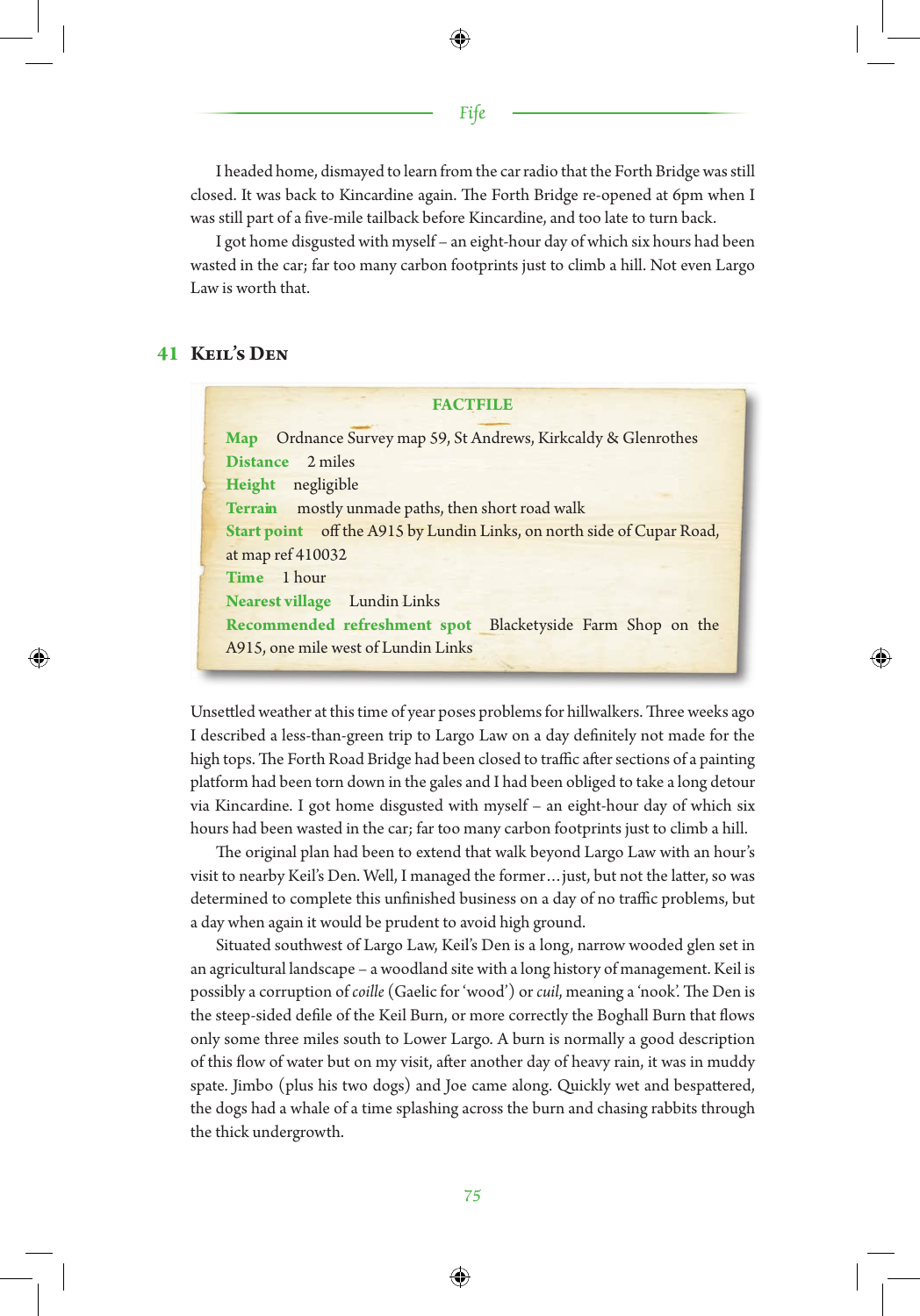I headed home, dismayed to learn from the car radio that the Forth Bridge was still closed. It was back to Kincardine again. The Forth Bridge re-opened at 6pm when I was still part of a five-mile tailback before Kincardine, and too late to turn back.

Fife

I got home disgusted with myself – an eight-hour day of which six hours had been wasted in the car; far too many carbon footprints just to climb a hill. Not even Largo Law is worth that.

## **41 Keil's Den**

**FACTFILE Map** Ordnance Survey map 59, St Andrews, Kirkcaldy & Glenrothes **Distance** 2 miles **Height** negligible **Terrain** mostly unmade paths, then short road walk **Start point** off the A915 by Lundin Links, on north side of Cupar Road, at map ref 410032 **Time** 1 hour **Nearest village** Lundin Links **Recommended refreshment spot** Blacketyside Farm Shop on the A915, one mile west of Lundin Links

Unsettled weather at this time of year poses problems for hillwalkers. Three weeks ago I described a less-than-green trip to Largo Law on a day definitely not made for the high tops. The Forth Road Bridge had been closed to traffic after sections of a painting platform had been torn down in the gales and I had been obliged to take a long detour via Kincardine. I got home disgusted with myself – an eight-hour day of which six hours had been wasted in the car; far too many carbon footprints just to climb a hill.

The original plan had been to extend that walk beyond Largo Law with an hour's visit to nearby Keil's Den. Well, I managed the former... just, but not the latter, so was determined to complete this unfinished business on a day of no traffic problems, but a day when again it would be prudent to avoid high ground.

Situated southwest of Largo Law, Keil's Den is a long, narrow wooded glen set in an agricultural landscape – a woodland site with a long history of management. Keil is possibly a corruption of *coille* (Gaelic for 'wood') or *cuil*, meaning a 'nook'. The Den is the steep-sided defile of the Keil Burn, or more correctly the Boghall Burn that flows only some three miles south to Lower Largo. A burn is normally a good description of this flow of water but on my visit, after another day of heavy rain, it was in muddy spate. Jimbo (plus his two dogs) and Joe came along. Quickly wet and bespattered, the dogs had a whale of a time splashing across the burn and chasing rabbits through the thick undergrowth.